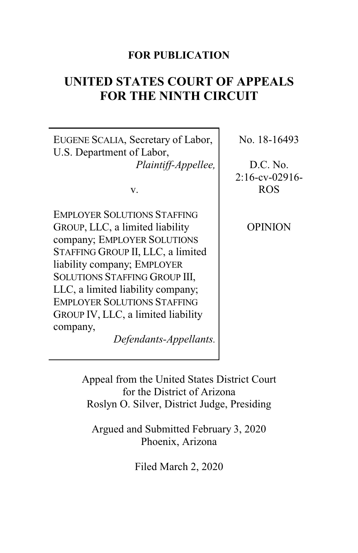# **FOR PUBLICATION**

# **UNITED STATES COURT OF APPEALS FOR THE NINTH CIRCUIT**

EUGENE SCALIA, Secretary of Labor, U.S. Department of Labor, *Plaintiff-Appellee,*

v.

EMPLOYER SOLUTIONS STAFFING GROUP, LLC, a limited liability company; EMPLOYER SOLUTIONS STAFFING GROUP II, LLC, a limited liability company; EMPLOYER SOLUTIONS STAFFING GROUP III, LLC, a limited liability company; EMPLOYER SOLUTIONS STAFFING GROUP IV, LLC, a limited liability company,

*Defendants-Appellants.*

No. 18-16493

D.C. No. 2:16-cv-02916- ROS

OPINION

Appeal from the United States District Court for the District of Arizona Roslyn O. Silver, District Judge, Presiding

Argued and Submitted February 3, 2020 Phoenix, Arizona

Filed March 2, 2020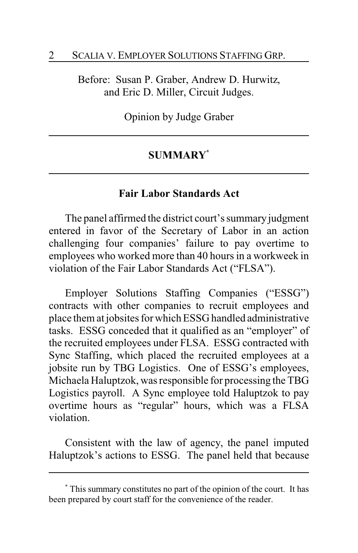Before: Susan P. Graber, Andrew D. Hurwitz, and Eric D. Miller, Circuit Judges.

Opinion by Judge Graber

### **SUMMARY\***

### **Fair Labor Standards Act**

The panel affirmed the district court's summary judgment entered in favor of the Secretary of Labor in an action challenging four companies' failure to pay overtime to employees who worked more than 40 hours in a workweek in violation of the Fair Labor Standards Act ("FLSA").

Employer Solutions Staffing Companies ("ESSG") contracts with other companies to recruit employees and place them at jobsites for which ESSG handled administrative tasks. ESSG conceded that it qualified as an "employer" of the recruited employees under FLSA. ESSG contracted with Sync Staffing, which placed the recruited employees at a jobsite run by TBG Logistics. One of ESSG's employees, Michaela Haluptzok, was responsible for processing the TBG Logistics payroll. A Sync employee told Haluptzok to pay overtime hours as "regular" hours, which was a FLSA violation.

Consistent with the law of agency, the panel imputed Haluptzok's actions to ESSG. The panel held that because

**<sup>\*</sup>** This summary constitutes no part of the opinion of the court. It has been prepared by court staff for the convenience of the reader.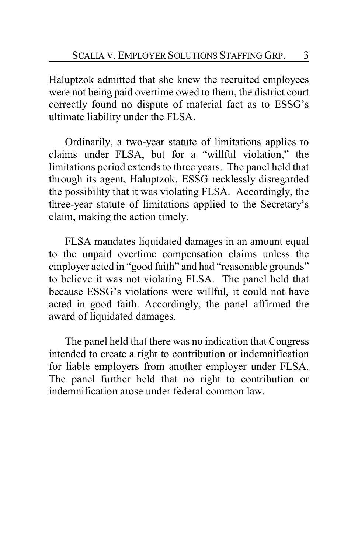Haluptzok admitted that she knew the recruited employees were not being paid overtime owed to them, the district court correctly found no dispute of material fact as to ESSG's ultimate liability under the FLSA.

Ordinarily, a two-year statute of limitations applies to claims under FLSA, but for a "willful violation," the limitations period extends to three years. The panel held that through its agent, Haluptzok, ESSG recklessly disregarded the possibility that it was violating FLSA. Accordingly, the three-year statute of limitations applied to the Secretary's claim, making the action timely.

FLSA mandates liquidated damages in an amount equal to the unpaid overtime compensation claims unless the employer acted in "good faith" and had "reasonable grounds" to believe it was not violating FLSA. The panel held that because ESSG's violations were willful, it could not have acted in good faith. Accordingly, the panel affirmed the award of liquidated damages.

The panel held that there was no indication that Congress intended to create a right to contribution or indemnification for liable employers from another employer under FLSA. The panel further held that no right to contribution or indemnification arose under federal common law.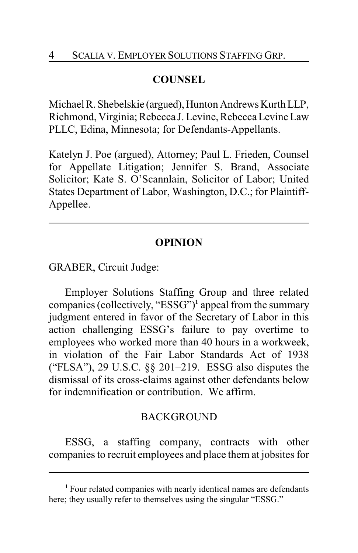# **COUNSEL**

Michael R. Shebelskie (argued), Hunton Andrews Kurth LLP, Richmond, Virginia; Rebecca J. Levine, Rebecca Levine Law PLLC, Edina, Minnesota; for Defendants-Appellants.

Katelyn J. Poe (argued), Attorney; Paul L. Frieden, Counsel for Appellate Litigation; Jennifer S. Brand, Associate Solicitor; Kate S. O'Scannlain, Solicitor of Labor; United States Department of Labor, Washington, D.C.; for Plaintiff-Appellee.

# **OPINION**

GRABER, Circuit Judge:

Employer Solutions Staffing Group and three related companies (collectively, "ESSG")**<sup>1</sup>** appeal from the summary judgment entered in favor of the Secretary of Labor in this action challenging ESSG's failure to pay overtime to employees who worked more than 40 hours in a workweek, in violation of the Fair Labor Standards Act of 1938 ("FLSA"), 29 U.S.C. §§ 201–219. ESSG also disputes the dismissal of its cross-claims against other defendants below for indemnification or contribution. We affirm.

## **BACKGROUND**

ESSG, a staffing company, contracts with other companies to recruit employees and place them at jobsites for

**<sup>1</sup>** Four related companies with nearly identical names are defendants here; they usually refer to themselves using the singular "ESSG."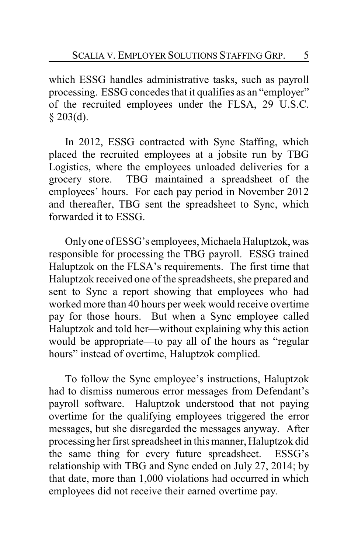which ESSG handles administrative tasks, such as payroll processing. ESSG concedes that it qualifies as an "employer" of the recruited employees under the FLSA, 29 U.S.C.  $§$  203(d).

In 2012, ESSG contracted with Sync Staffing, which placed the recruited employees at a jobsite run by TBG Logistics, where the employees unloaded deliveries for a grocery store. TBG maintained a spreadsheet of the employees' hours. For each pay period in November 2012 and thereafter, TBG sent the spreadsheet to Sync, which forwarded it to ESSG.

Onlyone ofESSG's employees, Michaela Haluptzok, was responsible for processing the TBG payroll. ESSG trained Haluptzok on the FLSA's requirements. The first time that Haluptzok received one of the spreadsheets, she prepared and sent to Sync a report showing that employees who had worked more than 40 hours per week would receive overtime pay for those hours. But when a Sync employee called Haluptzok and told her—without explaining why this action would be appropriate—to pay all of the hours as "regular hours" instead of overtime, Haluptzok complied.

To follow the Sync employee's instructions, Haluptzok had to dismiss numerous error messages from Defendant's payroll software. Haluptzok understood that not paying overtime for the qualifying employees triggered the error messages, but she disregarded the messages anyway. After processing her first spreadsheet in this manner, Haluptzok did the same thing for every future spreadsheet. ESSG's relationship with TBG and Sync ended on July 27, 2014; by that date, more than 1,000 violations had occurred in which employees did not receive their earned overtime pay.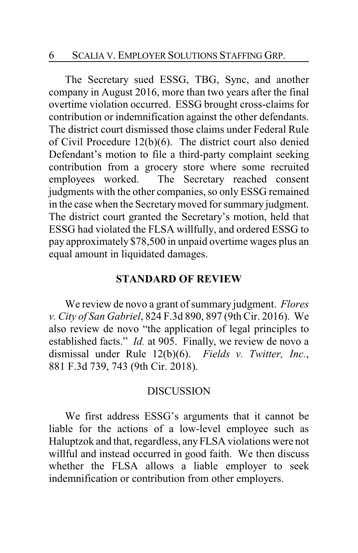The Secretary sued ESSG, TBG, Sync, and another company in August 2016, more than two years after the final overtime violation occurred. ESSG brought cross-claims for contribution or indemnification against the other defendants. The district court dismissed those claims under Federal Rule of Civil Procedure 12(b)(6). The district court also denied Defendant's motion to file a third-party complaint seeking contribution from a grocery store where some recruited employees worked. The Secretary reached consent judgments with the other companies, so onlyESSG remained in the case when the Secretary moved for summary judgment. The district court granted the Secretary's motion, held that ESSG had violated the FLSA willfully, and ordered ESSG to pay approximately \$78,500 in unpaid overtime wages plus an equal amount in liquidated damages.

### **STANDARD OF REVIEW**

We review de novo a grant of summary judgment. *Flores v. City of San Gabriel*, 824 F.3d 890, 897 (9th Cir. 2016). We also review de novo "the application of legal principles to established facts." *Id.* at 905. Finally, we review de novo a dismissal under Rule 12(b)(6). *Fields v. Twitter, Inc.*, 881 F.3d 739, 743 (9th Cir. 2018).

#### DISCUSSION

We first address ESSG's arguments that it cannot be liable for the actions of a low-level employee such as Haluptzok and that, regardless, any FLSA violations were not willful and instead occurred in good faith. We then discuss whether the FLSA allows a liable employer to seek indemnification or contribution from other employers.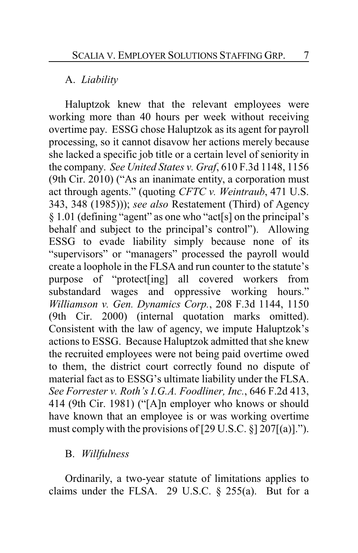### A. *Liability*

Haluptzok knew that the relevant employees were working more than 40 hours per week without receiving overtime pay. ESSG chose Haluptzok as its agent for payroll processing, so it cannot disavow her actions merely because she lacked a specific job title or a certain level of seniority in the company. *See United States v. Graf*, 610 F.3d 1148, 1156 (9th Cir. 2010) ("As an inanimate entity, a corporation must act through agents." (quoting *CFTC v. Weintraub*, 471 U.S. 343, 348 (1985))); *see also* Restatement (Third) of Agency § 1.01 (defining "agent" as one who "act[s] on the principal's behalf and subject to the principal's control"). Allowing ESSG to evade liability simply because none of its "supervisors" or "managers" processed the payroll would create a loophole in the FLSA and run counter to the statute's purpose of "protect[ing] all covered workers from substandard wages and oppressive working hours." *Williamson v. Gen. Dynamics Corp.*, 208 F.3d 1144, 1150 (9th Cir. 2000) (internal quotation marks omitted). Consistent with the law of agency, we impute Haluptzok's actions to ESSG. Because Haluptzok admitted that she knew the recruited employees were not being paid overtime owed to them, the district court correctly found no dispute of material fact as to ESSG's ultimate liability under the FLSA. *See Forrester v. Roth's I.G.A. Foodliner, Inc.*, 646 F.2d 413, 414 (9th Cir. 1981) ("[A]n employer who knows or should have known that an employee is or was working overtime must comply with the provisions of  $[29 \text{ U.S.C. } §] 207[(a)].$ ").

### B. *Willfulness*

Ordinarily, a two-year statute of limitations applies to claims under the FLSA. 29 U.S.C. § 255(a). But for a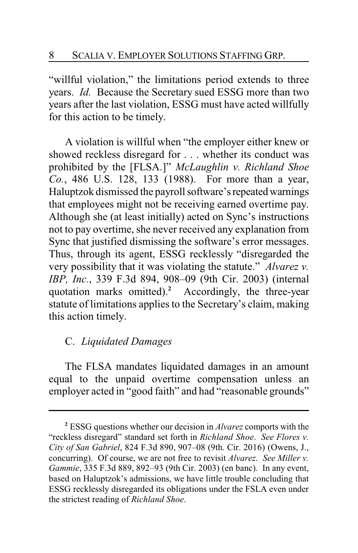"willful violation," the limitations period extends to three years. *Id.* Because the Secretary sued ESSG more than two years after the last violation, ESSG must have acted willfully for this action to be timely.

A violation is willful when "the employer either knew or showed reckless disregard for . . . whether its conduct was prohibited by the [FLSA.]" *McLaughlin v. Richland Shoe Co.*, 486 U.S. 128, 133 (1988). For more than a year, Haluptzok dismissed the payroll software's repeated warnings that employees might not be receiving earned overtime pay. Although she (at least initially) acted on Sync's instructions not to pay overtime, she never received any explanation from Sync that justified dismissing the software's error messages. Thus, through its agent, ESSG recklessly "disregarded the very possibility that it was violating the statute." *Alvarez v. IBP, Inc.*, 339 F.3d 894, 908–09 (9th Cir. 2003) (internal quotation marks omitted).**<sup>2</sup>** Accordingly, the three-year statute of limitations applies to the Secretary's claim, making this action timely.

# C. *Liquidated Damages*

The FLSA mandates liquidated damages in an amount equal to the unpaid overtime compensation unless an employer acted in "good faith" and had "reasonable grounds"

**<sup>2</sup>** ESSG questions whether our decision in *Alvarez* comports with the "reckless disregard" standard set forth in *Richland Shoe*. *See Flores v. City of San Gabriel*, 824 F.3d 890, 907–08 (9th. Cir. 2016) (Owens, J., concurring). Of course, we are not free to revisit *Alvarez*. *See Miller v. Gammie*, 335 F.3d 889, 892–93 (9th Cir. 2003) (en banc). In any event, based on Haluptzok's admissions, we have little trouble concluding that ESSG recklessly disregarded its obligations under the FSLA even under the strictest reading of *Richland Shoe*.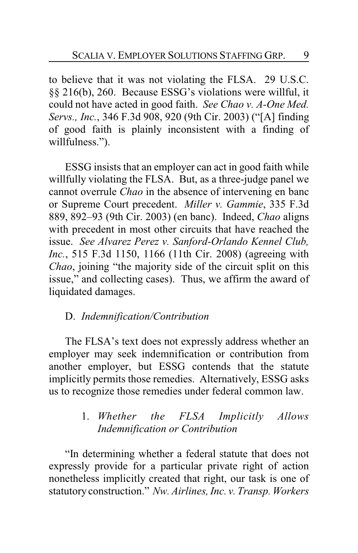to believe that it was not violating the FLSA. 29 U.S.C. §§ 216(b), 260. Because ESSG's violations were willful, it could not have acted in good faith. *See Chao v. A-One Med. Servs., Inc.*, 346 F.3d 908, 920 (9th Cir. 2003) ("[A] finding of good faith is plainly inconsistent with a finding of willfulness.").

ESSG insists that an employer can act in good faith while willfully violating the FLSA. But, as a three-judge panel we cannot overrule *Chao* in the absence of intervening en banc or Supreme Court precedent. *Miller v. Gammie*, 335 F.3d 889, 892–93 (9th Cir. 2003) (en banc). Indeed, *Chao* aligns with precedent in most other circuits that have reached the issue. *See Alvarez Perez v. Sanford-Orlando Kennel Club, Inc.*, 515 F.3d 1150, 1166 (11th Cir. 2008) (agreeing with *Chao*, joining "the majority side of the circuit split on this issue," and collecting cases). Thus, we affirm the award of liquidated damages.

## D. *Indemnification/Contribution*

The FLSA's text does not expressly address whether an employer may seek indemnification or contribution from another employer, but ESSG contends that the statute implicitly permits those remedies. Alternatively, ESSG asks us to recognize those remedies under federal common law.

# 1. *Whether the FLSA Implicitly Allows Indemnification or Contribution*

"In determining whether a federal statute that does not expressly provide for a particular private right of action nonetheless implicitly created that right, our task is one of statutory construction." *Nw. Airlines, Inc. v. Transp. Workers*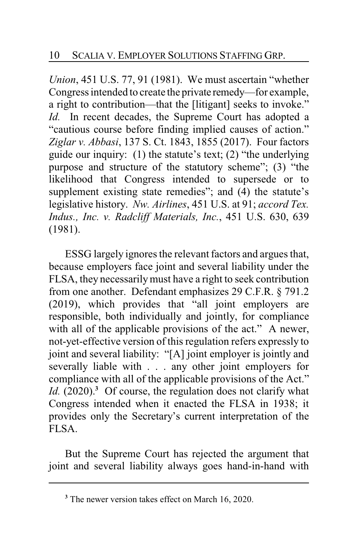*Union*, 451 U.S. 77, 91 (1981). We must ascertain "whether Congress intended to create the private remedy—for example, a right to contribution—that the [litigant] seeks to invoke." *Id.* In recent decades, the Supreme Court has adopted a "cautious course before finding implied causes of action." *Ziglar v. Abbasi*, 137 S. Ct. 1843, 1855 (2017). Four factors guide our inquiry: (1) the statute's text; (2) "the underlying purpose and structure of the statutory scheme"; (3) "the likelihood that Congress intended to supersede or to supplement existing state remedies"; and (4) the statute's legislative history. *Nw. Airlines*, 451 U.S. at 91; *accord Tex. Indus., Inc. v. Radcliff Materials, Inc.*, 451 U.S. 630, 639 (1981).

ESSG largely ignores the relevant factors and argues that, because employers face joint and several liability under the FLSA, they necessarilymust have a right to seek contribution from one another. Defendant emphasizes 29 C.F.R. § 791.2 (2019), which provides that "all joint employers are responsible, both individually and jointly, for compliance with all of the applicable provisions of the act." A newer, not-yet-effective version of this regulation refers expressly to joint and several liability: "[A] joint employer is jointly and severally liable with . . . any other joint employers for compliance with all of the applicable provisions of the Act." *Id.* (2020).**<sup>3</sup>** Of course, the regulation does not clarify what Congress intended when it enacted the FLSA in 1938; it provides only the Secretary's current interpretation of the FLSA.

But the Supreme Court has rejected the argument that joint and several liability always goes hand-in-hand with

**<sup>3</sup>** The newer version takes effect on March 16, 2020.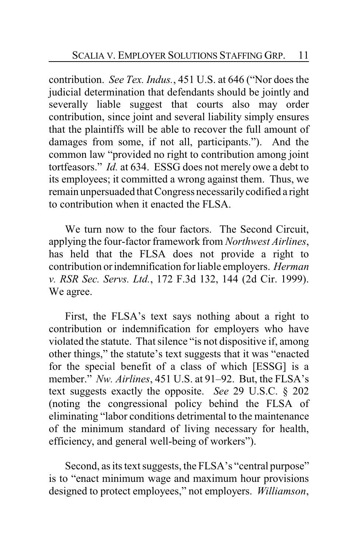contribution. *See Tex. Indus.*, 451 U.S. at 646 ("Nor does the judicial determination that defendants should be jointly and severally liable suggest that courts also may order contribution, since joint and several liability simply ensures that the plaintiffs will be able to recover the full amount of damages from some, if not all, participants."). And the common law "provided no right to contribution among joint tortfeasors." *Id.* at 634. ESSG does not merely owe a debt to its employees; it committed a wrong against them. Thus, we remain unpersuaded that Congress necessarilycodified a right to contribution when it enacted the FLSA.

We turn now to the four factors. The Second Circuit, applying the four-factor framework from *Northwest Airlines*, has held that the FLSA does not provide a right to contribution orindemnification for liable employers. *Herman v. RSR Sec. Servs. Ltd.*, 172 F.3d 132, 144 (2d Cir. 1999). We agree.

First, the FLSA's text says nothing about a right to contribution or indemnification for employers who have violated the statute. That silence "is not dispositive if, among other things," the statute's text suggests that it was "enacted for the special benefit of a class of which [ESSG] is a member." *Nw. Airlines*, 451 U.S. at 91–92. But, the FLSA's text suggests exactly the opposite. *See* 29 U.S.C. § 202 (noting the congressional policy behind the FLSA of eliminating "labor conditions detrimental to the maintenance of the minimum standard of living necessary for health, efficiency, and general well-being of workers").

Second, as its text suggests, the FLSA's "central purpose" is to "enact minimum wage and maximum hour provisions designed to protect employees," not employers. *Williamson*,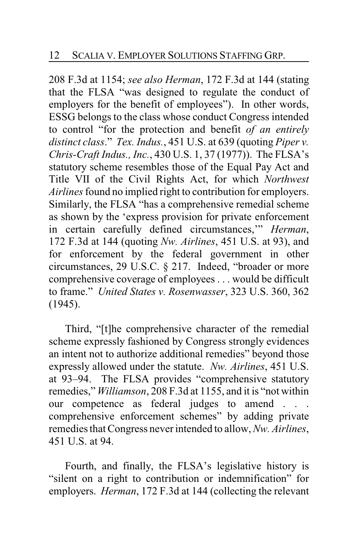208 F.3d at 1154; *see also Herman*, 172 F.3d at 144 (stating that the FLSA "was designed to regulate the conduct of employers for the benefit of employees"). In other words, ESSG belongs to the class whose conduct Congress intended to control "for the protection and benefit *of an entirely distinct class*." *Tex. Indus.*, 451 U.S. at 639 (quoting *Piper v. Chris-Craft Indus., Inc.*, 430 U.S. 1, 37 (1977)). The FLSA's statutory scheme resembles those of the Equal Pay Act and Title VII of the Civil Rights Act, for which *Northwest Airlines* found no implied right to contribution for employers. Similarly, the FLSA "has a comprehensive remedial scheme as shown by the 'express provision for private enforcement in certain carefully defined circumstances,'" *Herman*, 172 F.3d at 144 (quoting *Nw. Airlines*, 451 U.S. at 93), and for enforcement by the federal government in other circumstances, 29 U.S.C. § 217. Indeed, "broader or more comprehensive coverage of employees . . . would be difficult to frame." *United States v. Rosenwasser*, 323 U.S. 360, 362 (1945).

Third, "[t]he comprehensive character of the remedial scheme expressly fashioned by Congress strongly evidences an intent not to authorize additional remedies" beyond those expressly allowed under the statute. *Nw. Airlines*, 451 U.S. at 93–94. The FLSA provides "comprehensive statutory remedies," *Williamson*, 208 F.3d at 1155, and it is "not within our competence as federal judges to amend . . . comprehensive enforcement schemes" by adding private remedies that Congress never intended to allow, *Nw. Airlines*, 451 U.S. at 94.

Fourth, and finally, the FLSA's legislative history is "silent on a right to contribution or indemnification" for employers. *Herman*, 172 F.3d at 144 (collecting the relevant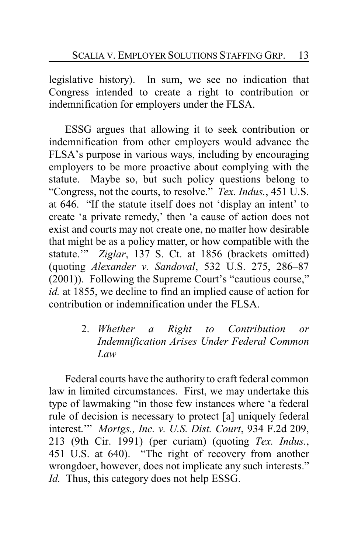legislative history). In sum, we see no indication that Congress intended to create a right to contribution or indemnification for employers under the FLSA.

ESSG argues that allowing it to seek contribution or indemnification from other employers would advance the FLSA's purpose in various ways, including by encouraging employers to be more proactive about complying with the statute. Maybe so, but such policy questions belong to "Congress, not the courts, to resolve." *Tex. Indus.*, 451 U.S. at 646. "If the statute itself does not 'display an intent' to create 'a private remedy,' then 'a cause of action does not exist and courts may not create one, no matter how desirable that might be as a policy matter, or how compatible with the statute.'" *Ziglar*, 137 S. Ct. at 1856 (brackets omitted) (quoting *Alexander v. Sandoval*, 532 U.S. 275, 286–87 (2001)). Following the Supreme Court's "cautious course," *id.* at 1855, we decline to find an implied cause of action for contribution or indemnification under the FLSA.

> 2. *Whether a Right to Contribution or Indemnification Arises Under Federal Common Law*

Federal courts have the authority to craft federal common law in limited circumstances. First, we may undertake this type of lawmaking "in those few instances where 'a federal rule of decision is necessary to protect [a] uniquely federal interest.'" *Mortgs., Inc. v. U.S. Dist. Court*, 934 F.2d 209, 213 (9th Cir. 1991) (per curiam) (quoting *Tex. Indus.*, 451 U.S. at 640). "The right of recovery from another wrongdoer, however, does not implicate any such interests." *Id.* Thus, this category does not help ESSG.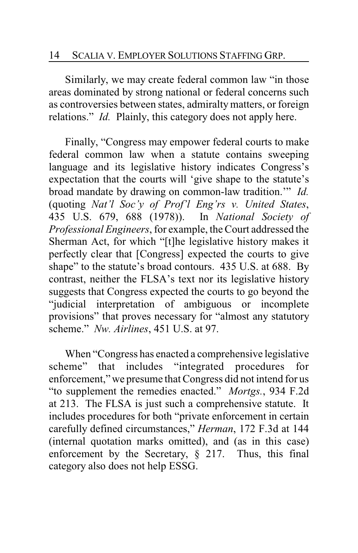Similarly, we may create federal common law "in those areas dominated by strong national or federal concerns such as controversies between states, admiralty matters, or foreign relations." *Id.* Plainly, this category does not apply here.

Finally, "Congress may empower federal courts to make federal common law when a statute contains sweeping language and its legislative history indicates Congress's expectation that the courts will 'give shape to the statute's broad mandate by drawing on common-law tradition.'" *Id.* (quoting *Nat'l Soc'y of Prof'l Eng'rs v. United States*, 435 U.S. 679, 688 (1978)). In *National Society of Professional Engineers*, for example, the Court addressed the Sherman Act, for which "[t]he legislative history makes it perfectly clear that [Congress] expected the courts to give shape" to the statute's broad contours. 435 U.S. at 688. By contrast, neither the FLSA's text nor its legislative history suggests that Congress expected the courts to go beyond the "judicial interpretation of ambiguous or incomplete provisions" that proves necessary for "almost any statutory scheme." *Nw. Airlines*, 451 U.S. at 97.

When "Congress has enacted a comprehensive legislative scheme" that includes "integrated procedures for enforcement," we presume that Congress did not intend for us "to supplement the remedies enacted." *Mortgs.*, 934 F.2d at 213. The FLSA is just such a comprehensive statute. It includes procedures for both "private enforcement in certain carefully defined circumstances," *Herman*, 172 F.3d at 144 (internal quotation marks omitted), and (as in this case) enforcement by the Secretary, § 217. Thus, this final category also does not help ESSG.